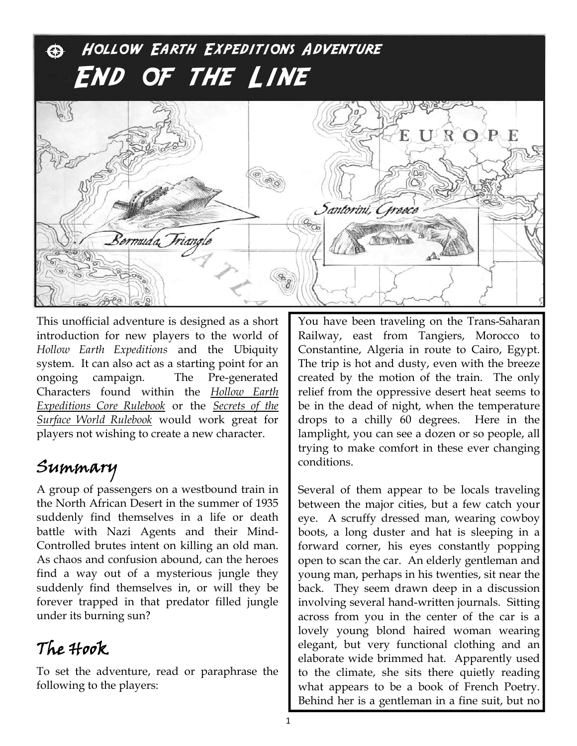# Hollow Earth Expeditions Adventure End of the Line



This unofficial adventure is designed as a short introduction for new players to the world of *Hollow Earth Expeditions* and the Ubiquity system. It can also act as a starting point for an ongoing campaign. The Pre-generated Characters found within the *Hollow Earth Expeditions Core Rulebook* or the *Secrets of the Surface World Rulebook* would work great for players not wishing to create a new character.

### Summary

A group of passengers on a westbound train in the North African Desert in the summer of 1935 suddenly find themselves in a life or death battle with Nazi Agents and their Mind-Controlled brutes intent on killing an old man. As chaos and confusion abound, can the heroes find a way out of a mysterious jungle they suddenly find themselves in, or will they be forever trapped in that predator filled jungle under its burning sun?

#### The Hook

To set the adventure, read or paraphrase the following to the players:

You have been traveling on the Trans-Saharan Railway, east from Tangiers, Morocco to Constantine, Algeria in route to Cairo, Egypt. The trip is hot and dusty, even with the breeze created by the motion of the train. The only relief from the oppressive desert heat seems to be in the dead of night, when the temperature drops to a chilly 60 degrees. Here in the lamplight, you can see a dozen or so people, all trying to make comfort in these ever changing conditions.

Several of them appear to be locals traveling between the major cities, but a few catch your eye. A scruffy dressed man, wearing cowboy boots, a long duster and hat is sleeping in a forward corner, his eyes constantly popping open to scan the car. An elderly gentleman and young man, perhaps in his twenties, sit near the back. They seem drawn deep in a discussion involving several hand-written journals. Sitting across from you in the center of the car is a lovely young blond haired woman wearing elegant, but very functional clothing and an elaborate wide brimmed hat. Apparently used to the climate, she sits there quietly reading what appears to be a book of French Poetry. Behind her is a gentleman in a fine suit, but no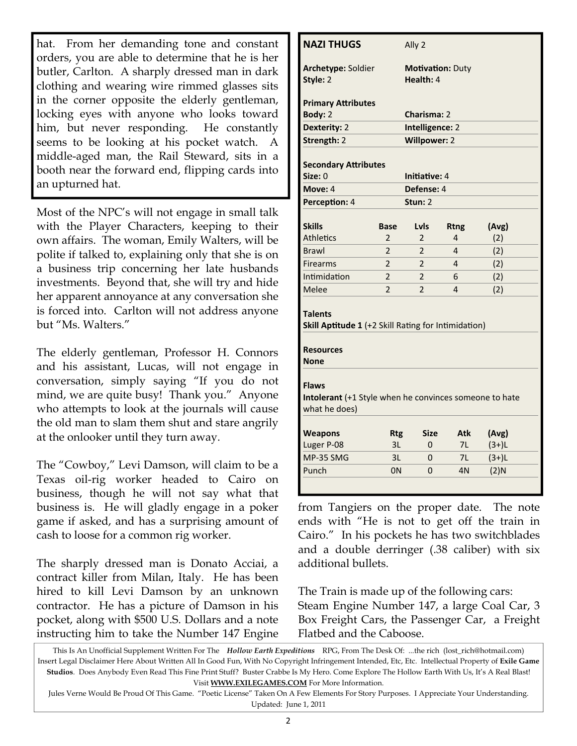hat. From her demanding tone and constant orders, you are able to determine that he is her butler, Carlton. A sharply dressed man in dark clothing and wearing wire rimmed glasses sits in the corner opposite the elderly gentleman, locking eyes with anyone who looks toward him, but never responding. He constantly seems to be looking at his pocket watch. A middle-aged man, the Rail Steward, sits in a booth near the forward end, flipping cards into an upturned hat.

Most of the NPC's will not engage in small talk with the Player Characters, keeping to their own affairs. The woman, Emily Walters, will be polite if talked to, explaining only that she is on a business trip concerning her late husbands investments. Beyond that, she will try and hide her apparent annoyance at any conversation she is forced into. Carlton will not address anyone but "Ms. Walters."

The elderly gentleman, Professor H. Connors and his assistant, Lucas, will not engage in conversation, simply saying "If you do not mind, we are quite busy! Thank you." Anyone who attempts to look at the journals will cause the old man to slam them shut and stare angrily at the onlooker until they turn away.

The "Cowboy," Levi Damson, will claim to be a Texas oil-rig worker headed to Cairo on business, though he will not say what that business is. He will gladly engage in a poker game if asked, and has a surprising amount of cash to loose for a common rig worker.

The sharply dressed man is Donato Acciai, a contract killer from Milan, Italy. He has been hired to kill Levi Damson by an unknown contractor. He has a picture of Damson in his pocket, along with \$500 U.S. Dollars and a note instructing him to take the Number 147 Engine

| <b>NAZI THUGS</b>                                                                                        |                          | Ally 2                     |                |                    |  |  |  |
|----------------------------------------------------------------------------------------------------------|--------------------------|----------------------------|----------------|--------------------|--|--|--|
| Archetype: Soldier                                                                                       |                          | <b>Motivation: Duty</b>    |                |                    |  |  |  |
| Style: 2                                                                                                 |                          | Health: 4                  |                |                    |  |  |  |
| <b>Primary Attributes</b>                                                                                |                          |                            |                |                    |  |  |  |
| Body: 2                                                                                                  |                          | Charisma: 2                |                |                    |  |  |  |
| Dexterity: 2                                                                                             |                          | Intelligence: 2            |                |                    |  |  |  |
| Strength: 2                                                                                              |                          | <b>Willpower: 2</b>        |                |                    |  |  |  |
| <b>Secondary Attributes</b>                                                                              |                          |                            |                |                    |  |  |  |
| Size: 0                                                                                                  |                          | Initiative: 4              |                |                    |  |  |  |
| Move: 4                                                                                                  |                          | Defense: 4                 |                |                    |  |  |  |
| Perception: 4                                                                                            |                          | Stun: 2                    |                |                    |  |  |  |
|                                                                                                          |                          |                            |                |                    |  |  |  |
| <b>Skills</b>                                                                                            | <b>Base</b>              | Lyls                       | <b>Rtng</b>    | (Avg)              |  |  |  |
| <b>Athletics</b>                                                                                         | $\overline{\mathbf{c}}$  | $\overline{2}$             | 4              | (2)                |  |  |  |
| <b>Brawl</b>                                                                                             | $\overline{2}$           | $\overline{2}$             | $\overline{4}$ | (2)                |  |  |  |
| <b>Firearms</b>                                                                                          | $\overline{2}$           | $\overline{2}$<br>(2)<br>4 |                |                    |  |  |  |
| Intimidation                                                                                             | $\overline{2}$           | (2)<br>$\overline{2}$<br>6 |                |                    |  |  |  |
|                                                                                                          |                          | $\mathfrak{p}$<br>4<br>(2) |                |                    |  |  |  |
| Melee                                                                                                    | $\overline{\phantom{a}}$ |                            |                |                    |  |  |  |
| <b>Talents</b><br>Skill Aptitude 1 (+2 Skill Rating for Intimidation)<br><b>Resources</b><br><b>None</b> |                          |                            |                |                    |  |  |  |
| <b>Flaws</b><br>Intolerant (+1 Style when he convinces someone to hate<br>what he does)                  |                          |                            |                |                    |  |  |  |
|                                                                                                          |                          | <b>Size</b>                | <b>Atk</b>     |                    |  |  |  |
| <b>Weapons</b>                                                                                           | <b>Rtg</b><br>3L         | 0                          | 7L             | (Avg)              |  |  |  |
| Luger P-08<br>MP-35 SMG                                                                                  | 3L                       | 0                          | 7L             | $(3+)L$<br>$(3+)L$ |  |  |  |

from Tangiers on the proper date. The note ends with "He is not to get off the train in Cairo." In his pockets he has two switchblades and a double derringer (.38 caliber) with six additional bullets.

The Train is made up of the following cars: Steam Engine Number 147, a large Coal Car, 3 Box Freight Cars, the Passenger Car, a Freight Flatbed and the Caboose.

This Is An Unofficial Supplement Written For The *Hollow Earth Expeditions* RPG, From The Desk Of: ...the rich (lost\_rich@hotmail.com) Insert Legal Disclaimer Here About Written All In Good Fun, With No Copyright Infringement Intended, Etc, Etc. Intellectual Property of **Exile Game Studios**. Does Anybody Even Read This Fine Print Stuff? Buster Crabbe Is My Hero. Come Explore The Hollow Earth With Us, It's A Real Blast! Visit **WWW.EXILEGAMES.COM** For More Information.

Jules Verne Would Be Proud Of This Game. "Poetic License" Taken On A Few Elements For Story Purposes. I Appreciate Your Understanding. Updated: June 1, 2011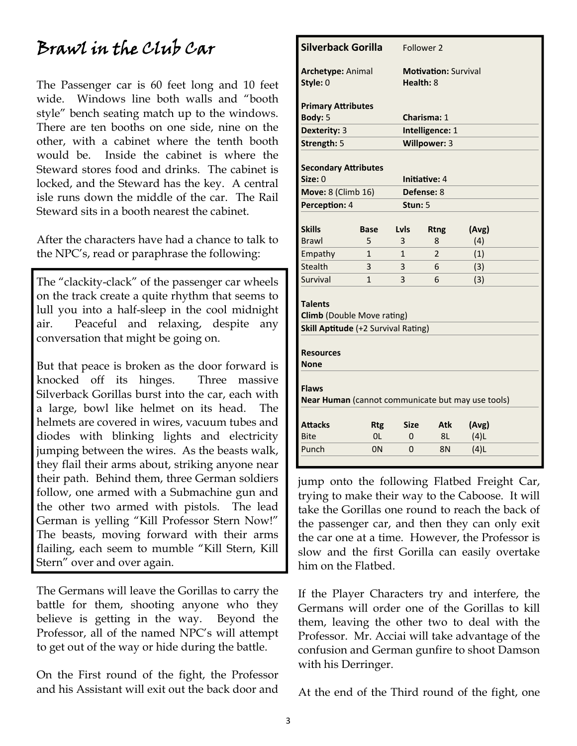#### Brawl in the Club Car

The Passenger car is 60 feet long and 10 feet wide. Windows line both walls and "booth style" bench seating match up to the windows. There are ten booths on one side, nine on the other, with a cabinet where the tenth booth would be. Inside the cabinet is where the Steward stores food and drinks. The cabinet is locked, and the Steward has the key. A central isle runs down the middle of the car. The Rail Steward sits in a booth nearest the cabinet.

After the characters have had a chance to talk to the NPC's, read or paraphrase the following:

The "clackity-clack" of the passenger car wheels on the track create a quite rhythm that seems to lull you into a half-sleep in the cool midnight air. Peaceful and relaxing, despite any conversation that might be going on.

But that peace is broken as the door forward is knocked off its hinges. Three massive Silverback Gorillas burst into the car, each with a large, bowl like helmet on its head. The helmets are covered in wires, vacuum tubes and diodes with blinking lights and electricity jumping between the wires. As the beasts walk, they flail their arms about, striking anyone near their path. Behind them, three German soldiers follow, one armed with a Submachine gun and the other two armed with pistols. The lead German is yelling "Kill Professor Stern Now!" The beasts, moving forward with their arms flailing, each seem to mumble "Kill Stern, Kill Stern" over and over again.

The Germans will leave the Gorillas to carry the battle for them, shooting anyone who they believe is getting in the way. Beyond the Professor, all of the named NPC's will attempt to get out of the way or hide during the battle.

On the First round of the fight, the Professor and his Assistant will exit out the back door and

| <b>Silverback Gorilla</b>                                                                  |                |             | Follower 2                  |       |  |  |
|--------------------------------------------------------------------------------------------|----------------|-------------|-----------------------------|-------|--|--|
| <b>Archetype: Animal</b>                                                                   |                |             | <b>Motivation: Survival</b> |       |  |  |
| Style: 0                                                                                   |                |             | Health: 8                   |       |  |  |
| <b>Primary Attributes</b>                                                                  |                |             |                             |       |  |  |
| Body: 5                                                                                    |                |             | Charisma: 1                 |       |  |  |
| Dexterity: 3                                                                               |                |             | Intelligence: 1             |       |  |  |
| Strength: 5                                                                                |                |             | Willpower: 3                |       |  |  |
|                                                                                            |                |             |                             |       |  |  |
| <b>Secondary Attributes</b><br>Size: 0                                                     |                |             | Initiative: 4               |       |  |  |
| <b>Move: 8 (Climb 16)</b>                                                                  |                |             | Defense: 8                  |       |  |  |
| Perception: 4                                                                              |                | Stun: 5     |                             |       |  |  |
|                                                                                            |                |             |                             |       |  |  |
| <b>Skills</b>                                                                              | <b>Base</b>    | Lyls        | <b>Rtng</b>                 | (Avg) |  |  |
| <b>Brawl</b>                                                                               | 5              | 3           | 8                           | (4)   |  |  |
| Empathy                                                                                    | 1              | 1           | $\overline{2}$              | (1)   |  |  |
| Stealth                                                                                    | 3              | 3           | 6                           | (3)   |  |  |
| Survival                                                                                   | 1              | 3           | 6                           | (3)   |  |  |
| <b>Talents</b><br><b>Climb</b> (Double Move rating)<br>Skill Aptitude (+2 Survival Rating) |                |             |                             |       |  |  |
| <b>Resources</b><br>None                                                                   |                |             |                             |       |  |  |
| <b>Flaws</b><br>Near Human (cannot communicate but may use tools)                          |                |             |                             |       |  |  |
| <b>Attacks</b>                                                                             | <b>Rtg</b>     | <b>Size</b> | Atk                         | (Avg) |  |  |
| <b>Bite</b>                                                                                | 0 <sub>L</sub> | $\Omega$    | 8L                          | (4)L  |  |  |
| Punch                                                                                      | 0 <sub>N</sub> | $\Omega$    | 8N                          | (4)L  |  |  |
|                                                                                            |                |             |                             |       |  |  |

jump onto the following Flatbed Freight Car, trying to make their way to the Caboose. It will take the Gorillas one round to reach the back of the passenger car, and then they can only exit the car one at a time. However, the Professor is slow and the first Gorilla can easily overtake him on the Flatbed.

If the Player Characters try and interfere, the Germans will order one of the Gorillas to kill them, leaving the other two to deal with the Professor. Mr. Acciai will take advantage of the confusion and German gunfire to shoot Damson with his Derringer.

At the end of the Third round of the fight, one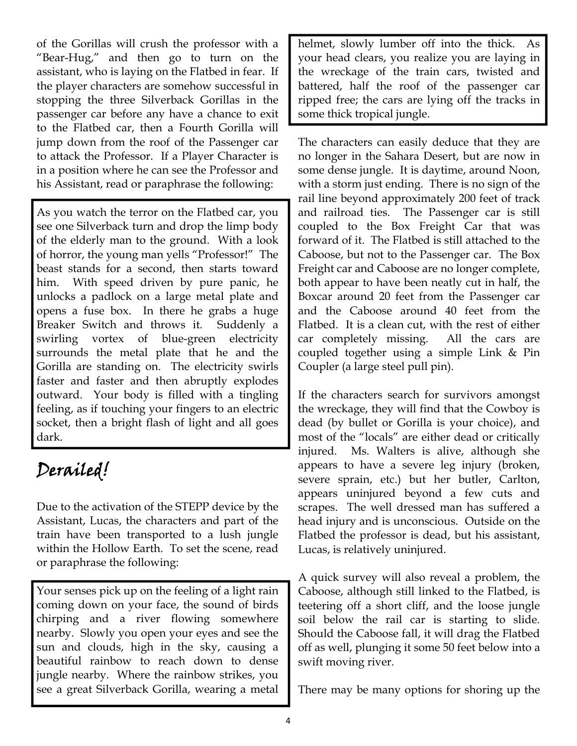of the Gorillas will crush the professor with a "Bear-Hug," and then go to turn on the assistant, who is laying on the Flatbed in fear. If the player characters are somehow successful in stopping the three Silverback Gorillas in the passenger car before any have a chance to exit to the Flatbed car, then a Fourth Gorilla will jump down from the roof of the Passenger car to attack the Professor. If a Player Character is in a position where he can see the Professor and his Assistant, read or paraphrase the following:

As you watch the terror on the Flatbed car, you see one Silverback turn and drop the limp body of the elderly man to the ground. With a look of horror, the young man yells "Professor!" The beast stands for a second, then starts toward him. With speed driven by pure panic, he unlocks a padlock on a large metal plate and opens a fuse box. In there he grabs a huge Breaker Switch and throws it. Suddenly a swirling vortex of blue-green electricity surrounds the metal plate that he and the Gorilla are standing on. The electricity swirls faster and faster and then abruptly explodes outward. Your body is filled with a tingling feeling, as if touching your fingers to an electric socket, then a bright flash of light and all goes dark.

### Derailed!

Due to the activation of the STEPP device by the Assistant, Lucas, the characters and part of the train have been transported to a lush jungle within the Hollow Earth. To set the scene, read or paraphrase the following:

Your senses pick up on the feeling of a light rain coming down on your face, the sound of birds chirping and a river flowing somewhere nearby. Slowly you open your eyes and see the sun and clouds, high in the sky, causing a beautiful rainbow to reach down to dense jungle nearby. Where the rainbow strikes, you see a great Silverback Gorilla, wearing a metal helmet, slowly lumber off into the thick. As your head clears, you realize you are laying in the wreckage of the train cars, twisted and battered, half the roof of the passenger car ripped free; the cars are lying off the tracks in some thick tropical jungle.

The characters can easily deduce that they are no longer in the Sahara Desert, but are now in some dense jungle. It is daytime, around Noon, with a storm just ending. There is no sign of the rail line beyond approximately 200 feet of track and railroad ties. The Passenger car is still coupled to the Box Freight Car that was forward of it. The Flatbed is still attached to the Caboose, but not to the Passenger car. The Box Freight car and Caboose are no longer complete, both appear to have been neatly cut in half, the Boxcar around 20 feet from the Passenger car and the Caboose around 40 feet from the Flatbed. It is a clean cut, with the rest of either car completely missing. All the cars are coupled together using a simple Link & Pin Coupler (a large steel pull pin).

If the characters search for survivors amongst the wreckage, they will find that the Cowboy is dead (by bullet or Gorilla is your choice), and most of the "locals" are either dead or critically injured. Ms. Walters is alive, although she appears to have a severe leg injury (broken, severe sprain, etc.) but her butler, Carlton, appears uninjured beyond a few cuts and scrapes. The well dressed man has suffered a head injury and is unconscious. Outside on the Flatbed the professor is dead, but his assistant, Lucas, is relatively uninjured.

A quick survey will also reveal a problem, the Caboose, although still linked to the Flatbed, is teetering off a short cliff, and the loose jungle soil below the rail car is starting to slide. Should the Caboose fall, it will drag the Flatbed off as well, plunging it some 50 feet below into a swift moving river.

There may be many options for shoring up the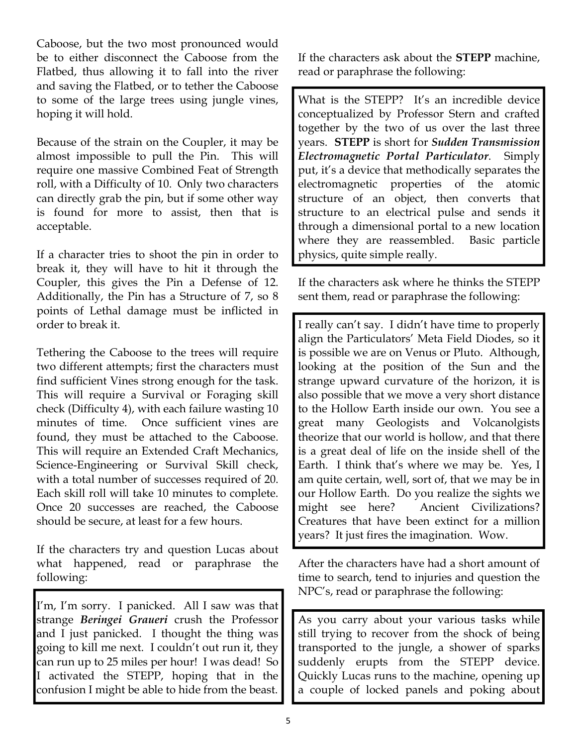Caboose, but the two most pronounced would be to either disconnect the Caboose from the Flatbed, thus allowing it to fall into the river and saving the Flatbed, or to tether the Caboose to some of the large trees using jungle vines, hoping it will hold.

Because of the strain on the Coupler, it may be almost impossible to pull the Pin. This will require one massive Combined Feat of Strength roll, with a Difficulty of 10. Only two characters can directly grab the pin, but if some other way is found for more to assist, then that is acceptable.

If a character tries to shoot the pin in order to break it, they will have to hit it through the Coupler, this gives the Pin a Defense of 12. Additionally, the Pin has a Structure of 7, so 8 points of Lethal damage must be inflicted in order to break it.

Tethering the Caboose to the trees will require two different attempts; first the characters must find sufficient Vines strong enough for the task. This will require a Survival or Foraging skill check (Difficulty 4), with each failure wasting 10 minutes of time. Once sufficient vines are found, they must be attached to the Caboose. This will require an Extended Craft Mechanics, Science-Engineering or Survival Skill check, with a total number of successes required of 20. Each skill roll will take 10 minutes to complete. Once 20 successes are reached, the Caboose should be secure, at least for a few hours.

If the characters try and question Lucas about what happened, read or paraphrase the following:

I'm, I'm sorry. I panicked. All I saw was that strange *Beringei Graueri* crush the Professor and I just panicked. I thought the thing was going to kill me next. I couldn't out run it, they can run up to 25 miles per hour! I was dead! So I activated the STEPP, hoping that in the confusion I might be able to hide from the beast.

If the characters ask about the **STEPP** machine, read or paraphrase the following:

What is the STEPP? It's an incredible device conceptualized by Professor Stern and crafted together by the two of us over the last three years. **STEPP** is short for *Sudden Transmission Electromagnetic Portal Particulator*. Simply put, it's a device that methodically separates the electromagnetic properties of the atomic structure of an object, then converts that structure to an electrical pulse and sends it through a dimensional portal to a new location where they are reassembled. Basic particle physics, quite simple really.

If the characters ask where he thinks the STEPP sent them, read or paraphrase the following:

I really can't say. I didn't have time to properly align the Particulators' Meta Field Diodes, so it is possible we are on Venus or Pluto. Although, looking at the position of the Sun and the strange upward curvature of the horizon, it is also possible that we move a very short distance to the Hollow Earth inside our own. You see a great many Geologists and Volcanolgists theorize that our world is hollow, and that there is a great deal of life on the inside shell of the Earth. I think that's where we may be. Yes, I am quite certain, well, sort of, that we may be in our Hollow Earth. Do you realize the sights we might see here? Ancient Civilizations? Creatures that have been extinct for a million years? It just fires the imagination. Wow.

After the characters have had a short amount of time to search, tend to injuries and question the NPC's, read or paraphrase the following:

As you carry about your various tasks while still trying to recover from the shock of being transported to the jungle, a shower of sparks suddenly erupts from the STEPP device. Quickly Lucas runs to the machine, opening up a couple of locked panels and poking about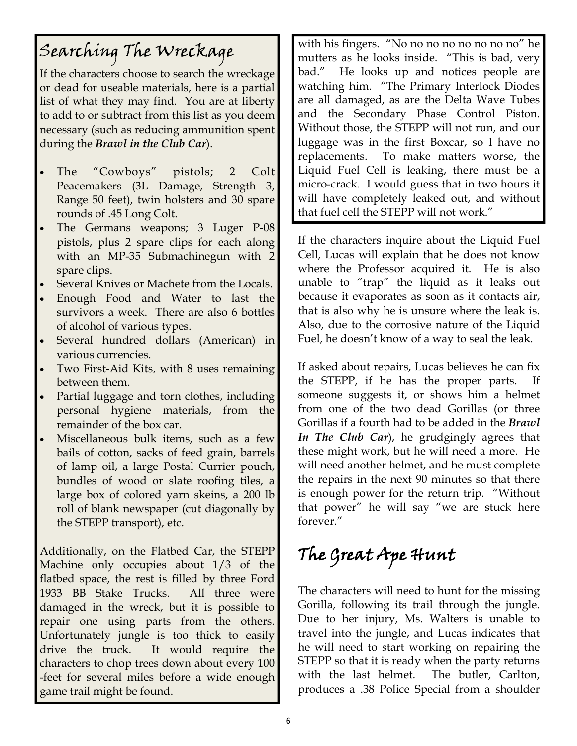## Searching The Wreckage

If the characters choose to search the wreckage or dead for useable materials, here is a partial list of what they may find. You are at liberty to add to or subtract from this list as you deem necessary (such as reducing ammunition spent during the *Brawl in the Club Car*).

- The "Cowboys" pistols; 2 Colt Peacemakers (3L Damage, Strength 3, Range 50 feet), twin holsters and 30 spare rounds of .45 Long Colt.
- The Germans weapons; 3 Luger P-08 pistols, plus 2 spare clips for each along with an MP-35 Submachinegun with 2 spare clips.
- Several Knives or Machete from the Locals.
- Enough Food and Water to last the survivors a week. There are also 6 bottles of alcohol of various types.
- Several hundred dollars (American) in various currencies.
- Two First-Aid Kits, with 8 uses remaining between them.
- Partial luggage and torn clothes, including personal hygiene materials, from the remainder of the box car.
- Miscellaneous bulk items, such as a few bails of cotton, sacks of feed grain, barrels of lamp oil, a large Postal Currier pouch, bundles of wood or slate roofing tiles, a large box of colored yarn skeins, a 200 lb roll of blank newspaper (cut diagonally by the STEPP transport), etc.

Additionally, on the Flatbed Car, the STEPP Machine only occupies about 1/3 of the flatbed space, the rest is filled by three Ford 1933 BB Stake Trucks. All three were damaged in the wreck, but it is possible to repair one using parts from the others. Unfortunately jungle is too thick to easily drive the truck. It would require the characters to chop trees down about every 100 -feet for several miles before a wide enough game trail might be found.

with his fingers. "No no no no no no no no" he mutters as he looks inside. "This is bad, very bad." He looks up and notices people are watching him. "The Primary Interlock Diodes are all damaged, as are the Delta Wave Tubes and the Secondary Phase Control Piston. Without those, the STEPP will not run, and our luggage was in the first Boxcar, so I have no replacements. To make matters worse, the Liquid Fuel Cell is leaking, there must be a micro-crack. I would guess that in two hours it will have completely leaked out, and without that fuel cell the STEPP will not work."

If the characters inquire about the Liquid Fuel Cell, Lucas will explain that he does not know where the Professor acquired it. He is also unable to "trap" the liquid as it leaks out because it evaporates as soon as it contacts air, that is also why he is unsure where the leak is. Also, due to the corrosive nature of the Liquid Fuel, he doesn't know of a way to seal the leak.

If asked about repairs, Lucas believes he can fix the STEPP, if he has the proper parts. someone suggests it, or shows him a helmet from one of the two dead Gorillas (or three Gorillas if a fourth had to be added in the *Brawl In The Club Car*), he grudgingly agrees that these might work, but he will need a more. He will need another helmet, and he must complete the repairs in the next 90 minutes so that there is enough power for the return trip. "Without that power" he will say "we are stuck here forever."

# The Great Ape Hunt

The characters will need to hunt for the missing Gorilla, following its trail through the jungle. Due to her injury, Ms. Walters is unable to travel into the jungle, and Lucas indicates that he will need to start working on repairing the STEPP so that it is ready when the party returns with the last helmet. The butler, Carlton, produces a .38 Police Special from a shoulder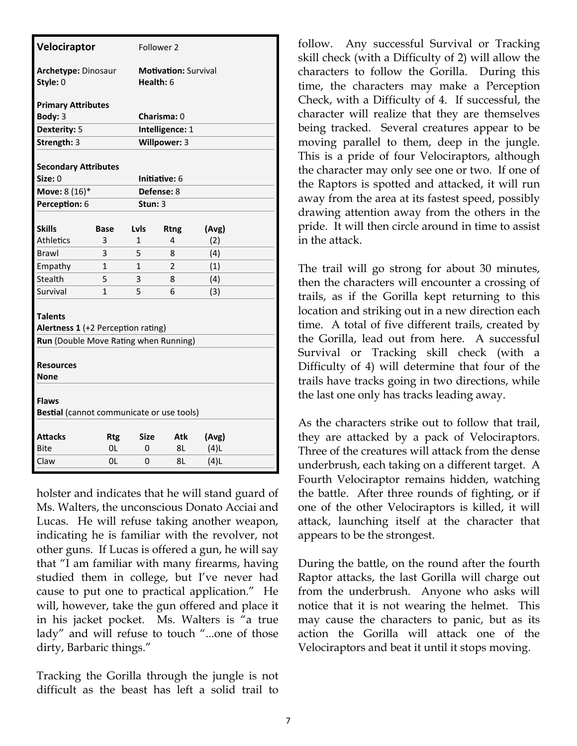| Velociraptor                                              |                    | Follower 2                               |                      |         |  |  |  |
|-----------------------------------------------------------|--------------------|------------------------------------------|----------------------|---------|--|--|--|
| Archetype: Dinosaur<br>Style: 0                           |                    | <b>Motivation: Survival</b><br>Health: 6 |                      |         |  |  |  |
| <b>Primary Attributes</b>                                 |                    |                                          |                      |         |  |  |  |
| Body: 3                                                   | <b>Charisma: 0</b> |                                          |                      |         |  |  |  |
| Dexterity: 5                                              | Intelligence: 1    |                                          |                      |         |  |  |  |
| Strength: 3                                               |                    |                                          | Willpower: 3         |         |  |  |  |
|                                                           |                    |                                          |                      |         |  |  |  |
| <b>Secondary Attributes</b>                               |                    |                                          |                      |         |  |  |  |
| Size: 0                                                   |                    |                                          | <b>Initiative: 6</b> |         |  |  |  |
| Move: 8 (16)*                                             |                    |                                          | Defense: 8           |         |  |  |  |
| Perception: 6                                             |                    | Stun: $3$                                |                      |         |  |  |  |
|                                                           |                    |                                          |                      |         |  |  |  |
| <b>Skills</b>                                             | <b>Base</b>        | Lvls                                     | <b>Rtng</b>          | (Avg)   |  |  |  |
| <b>Athletics</b>                                          | 3                  | 1                                        | 4                    | (2)     |  |  |  |
| Brawl                                                     | 3                  | 5                                        | 8                    | (4)     |  |  |  |
| Empathy                                                   | $\mathbf 1$        | 1                                        | 2                    | (1)     |  |  |  |
| Stealth                                                   | 5                  | 3                                        | 8                    | (4)     |  |  |  |
| Survival                                                  | 1                  | 5                                        | 6                    | (3)     |  |  |  |
| <b>Talents</b><br>Alertness 1 (+2 Perception rating)      |                    |                                          |                      |         |  |  |  |
| Run (Double Move Rating when Running)                     |                    |                                          |                      |         |  |  |  |
| <b>Resources</b><br>None                                  |                    |                                          |                      |         |  |  |  |
| <b>Flaws</b><br>Bestial (cannot communicate or use tools) |                    |                                          |                      |         |  |  |  |
| <b>Attacks</b>                                            | <b>Rtg</b>         | Size                                     | Atk                  | (Avg)   |  |  |  |
| Bite                                                      | 0L                 | 0                                        | 8L                   | (4)L    |  |  |  |
| Claw                                                      | 0L                 | 0                                        | 8L                   | $(4)$ L |  |  |  |

holster and indicates that he will stand guard of Ms. Walters, the unconscious Donato Acciai and Lucas. He will refuse taking another weapon, indicating he is familiar with the revolver, not other guns. If Lucas is offered a gun, he will say that "I am familiar with many firearms, having studied them in college, but I've never had cause to put one to practical application." He will, however, take the gun offered and place it in his jacket pocket. Ms. Walters is "a true lady" and will refuse to touch "...one of those dirty, Barbaric things."

Tracking the Gorilla through the jungle is not difficult as the beast has left a solid trail to

follow. Any successful Survival or Tracking skill check (with a Difficulty of 2) will allow the characters to follow the Gorilla. During this time, the characters may make a Perception Check, with a Difficulty of 4. If successful, the character will realize that they are themselves being tracked. Several creatures appear to be moving parallel to them, deep in the jungle. This is a pride of four Velociraptors, although the character may only see one or two. If one of the Raptors is spotted and attacked, it will run away from the area at its fastest speed, possibly drawing attention away from the others in the pride. It will then circle around in time to assist in the attack.

The trail will go strong for about 30 minutes, then the characters will encounter a crossing of trails, as if the Gorilla kept returning to this location and striking out in a new direction each time. A total of five different trails, created by the Gorilla, lead out from here. A successful Survival or Tracking skill check (with a Difficulty of 4) will determine that four of the trails have tracks going in two directions, while the last one only has tracks leading away.

As the characters strike out to follow that trail, they are attacked by a pack of Velociraptors. Three of the creatures will attack from the dense underbrush, each taking on a different target. A Fourth Velociraptor remains hidden, watching the battle. After three rounds of fighting, or if one of the other Velociraptors is killed, it will attack, launching itself at the character that appears to be the strongest.

During the battle, on the round after the fourth Raptor attacks, the last Gorilla will charge out from the underbrush. Anyone who asks will notice that it is not wearing the helmet. This may cause the characters to panic, but as its action the Gorilla will attack one of the Velociraptors and beat it until it stops moving.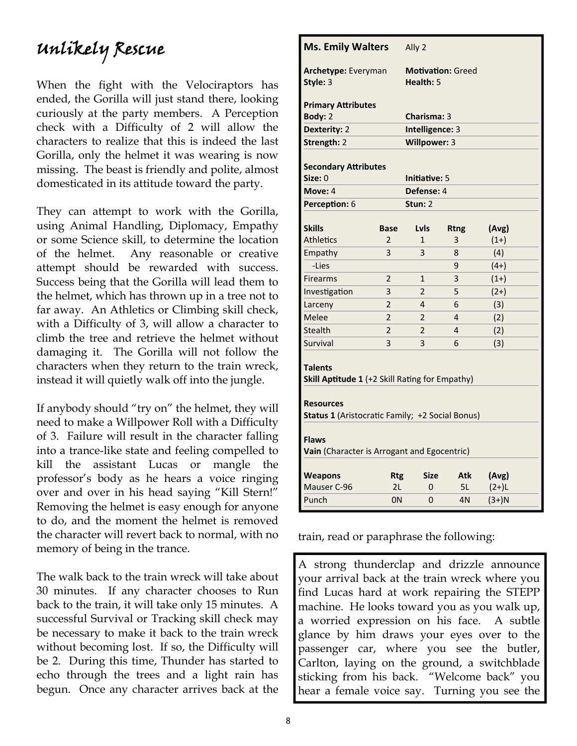#### Unlikely Rescue

When the fight with the Velociraptors has ended, the Gorilla will just stand there, looking curiously at the party members. A Perception check with a Difficulty of 2 will allow the characters to realize that this is indeed the last Gorilla, only the helmet it was wearing is now missing. The beast is friendly and polite, almost domesticated in its attitude toward the party.

They can attempt to work with the Gorilla, using Animal Handling, Diplomacy, Empathy or some Science skill, to determine the location of the helmet. Any reasonable or creative attempt should be rewarded with success. Success being that the Gorilla will lead them to the helmet, which has thrown up in a tree not to far away. An Athletics or Climbing skill check, with a Difficulty of 3, will allow a character to climb the tree and retrieve the helmet without damaging it. The Gorilla will not follow the characters when they return to the train wreck, instead it will quietly walk off into the jungle.

If anybody should "try on" the helmet, they will need to make a Willpower Roll with a Difficulty of 3. Failure will result in the character falling into a trance-like state and feeling compelled to kill the assistant Lucas or mangle the professor's body as he hears a voice ringing over and over in his head saying "Kill Stern!" Removing the helmet is easy enough for anyone to do, and the moment the helmet is removed the character will revert back to normal, with no memory of being in the trance.

The walk back to the train wreck will take about 30 minutes. If any character chooses to Run back to the train, it will take only 15 minutes. A successful Survival or Tracking skill check may be necessary to make it back to the train wreck without becoming lost. If so, the Difficulty will be 2. During this time, Thunder has started to echo through the trees and a light rain has begun. Once any character arrives back at the

| <b>Ms. Emily Walters</b>                                                                                       |                                       | Ally 2          |             |         |  |  |  |
|----------------------------------------------------------------------------------------------------------------|---------------------------------------|-----------------|-------------|---------|--|--|--|
| Archetype: Everyman<br>Style: 3                                                                                | <b>Motivation: Greed</b><br>Health: 5 |                 |             |         |  |  |  |
| <b>Primary Attributes</b>                                                                                      |                                       |                 |             |         |  |  |  |
| Body: 2                                                                                                        |                                       | Charisma: 3     |             |         |  |  |  |
| Dexterity: 2                                                                                                   |                                       | Intelligence: 3 |             |         |  |  |  |
| Strength: 2<br>Willpower: 3<br><b>Secondary Attributes</b><br>Size: 0<br>Initiative: 5                         |                                       |                 |             |         |  |  |  |
| Move: 4                                                                                                        |                                       | Defense: 4      |             |         |  |  |  |
| Perception: 6                                                                                                  |                                       | Stun: 2         |             |         |  |  |  |
| <b>Skills</b>                                                                                                  | <b>Base</b>                           | <b>Lyls</b>     | <b>Rtng</b> | (Avg)   |  |  |  |
| <b>Athletics</b>                                                                                               | 2                                     | 1               | 3           | $(1+)$  |  |  |  |
| Empathy                                                                                                        | 3                                     | 3               | 8           | (4)     |  |  |  |
| -Lies                                                                                                          |                                       |                 | 9           | $(4+)$  |  |  |  |
| <b>Firearms</b>                                                                                                | $\overline{2}$                        | $\mathbf{1}$    | 3           | $(1+)$  |  |  |  |
| Investigation                                                                                                  | 3                                     | $\overline{2}$  | 5           | $(2+)$  |  |  |  |
| Larceny                                                                                                        | $\overline{2}$                        | 4<br>6<br>(3)   |             |         |  |  |  |
| Melee                                                                                                          | $\overline{2}$                        | 2               | 4           | (2)     |  |  |  |
| <b>Stealth</b>                                                                                                 | $\overline{2}$                        | $\overline{2}$  | 4           | (2)     |  |  |  |
| Survival                                                                                                       | 3                                     | 3               | 6           | (3)     |  |  |  |
| <b>Talents</b><br>Skill Aptitude 1 (+2 Skill Rating for Empathy)<br><b>Resources</b>                           |                                       |                 |             |         |  |  |  |
| Status 1 (Aristocratic Family; +2 Social Bonus)<br><b>Flaws</b><br>Vain (Character is Arrogant and Egocentric) |                                       |                 |             |         |  |  |  |
| <b>Weapons</b>                                                                                                 | <b>Rtg</b>                            | <b>Size</b>     | Atk         | (Avg)   |  |  |  |
| Mauser C-96                                                                                                    |                                       |                 |             |         |  |  |  |
| Punch                                                                                                          | 2L                                    | 0               | 5L          | $(2+)L$ |  |  |  |

train, read or paraphrase the following:

A strong thunderclap and drizzle announce your arrival back at the train wreck where you find Lucas hard at work repairing the STEPP machine. He looks toward you as you walk up, a worried expression on his face. A subtle glance by him draws your eyes over to the passenger car, where you see the butler, Carlton, laying on the ground, a switchblade sticking from his back. "Welcome back" you hear a female voice say. Turning you see the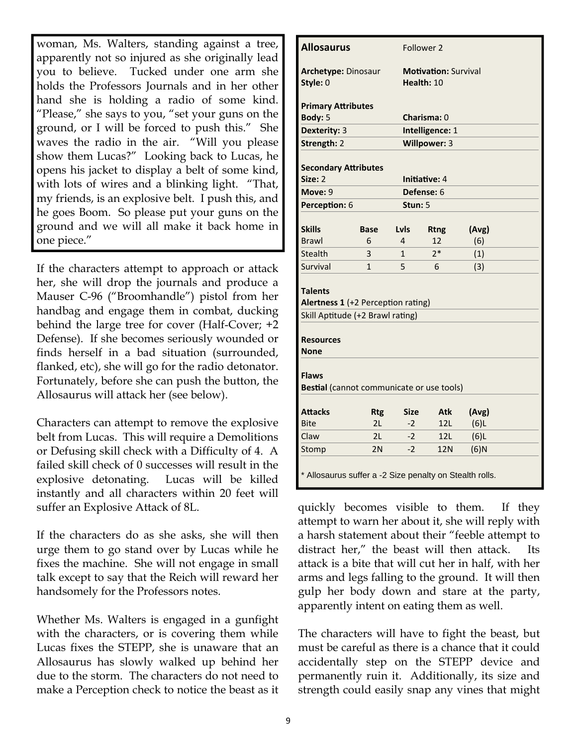woman, Ms. Walters, standing against a tree, apparently not so injured as she originally lead you to believe. Tucked under one arm she holds the Professors Journals and in her other hand she is holding a radio of some kind. "Please," she says to you, "set your guns on the ground, or I will be forced to push this." She waves the radio in the air. "Will you please show them Lucas?" Looking back to Lucas, he opens his jacket to display a belt of some kind, with lots of wires and a blinking light. "That, my friends, is an explosive belt. I push this, and he goes Boom. So please put your guns on the ground and we will all make it back home in one piece."

If the characters attempt to approach or attack her, she will drop the journals and produce a Mauser C-96 ("Broomhandle") pistol from her handbag and engage them in combat, ducking behind the large tree for cover (Half-Cover; +2 Defense). If she becomes seriously wounded or finds herself in a bad situation (surrounded, flanked, etc), she will go for the radio detonator. Fortunately, before she can push the button, the Allosaurus will attack her (see below).

Characters can attempt to remove the explosive belt from Lucas. This will require a Demolitions or Defusing skill check with a Difficulty of 4. A failed skill check of 0 successes will result in the explosive detonating. Lucas will be killed instantly and all characters within 20 feet will suffer an Explosive Attack of 8L.

If the characters do as she asks, she will then urge them to go stand over by Lucas while he fixes the machine. She will not engage in small talk except to say that the Reich will reward her handsomely for the Professors notes.

Whether Ms. Walters is engaged in a gunfight with the characters, or is covering them while Lucas fixes the STEPP, she is unaware that an Allosaurus has slowly walked up behind her due to the storm. The characters do not need to make a Perception check to notice the beast as it

| <b>Allosaurus</b>                                         | Follower 2                         |             |                             |         |  |  |  |  |
|-----------------------------------------------------------|------------------------------------|-------------|-----------------------------|---------|--|--|--|--|
| <b>Archetype: Dinosaur</b>                                |                                    |             | <b>Motivation: Survival</b> |         |  |  |  |  |
| Style: 0                                                  |                                    |             | Health: 10                  |         |  |  |  |  |
|                                                           | <b>Primary Attributes</b>          |             |                             |         |  |  |  |  |
| Body: 5                                                   |                                    |             | Charisma: 0                 |         |  |  |  |  |
| Dexterity: 3                                              |                                    |             | Intelligence: 1             |         |  |  |  |  |
| Strength: 2                                               |                                    |             | Willpower: 3                |         |  |  |  |  |
| <b>Secondary Attributes</b>                               |                                    |             |                             |         |  |  |  |  |
| Size: 2                                                   |                                    |             | Initiative: 4               |         |  |  |  |  |
| Move: 9                                                   |                                    |             | Defense: 6                  |         |  |  |  |  |
| Perception: 6                                             |                                    | Stun: 5     |                             |         |  |  |  |  |
|                                                           |                                    |             |                             |         |  |  |  |  |
| <b>Skills</b>                                             | <b>Base</b>                        | Lyls        | <b>Rtng</b>                 | (Avg)   |  |  |  |  |
| <b>Brawl</b>                                              | 6                                  | 4           | 12                          | (6)     |  |  |  |  |
| Stealth                                                   | 3                                  | 1           | $2*$                        | (1)     |  |  |  |  |
| Survival                                                  | $\mathbf{1}$                       | 5           | 6                           | (3)     |  |  |  |  |
| <b>Talents</b>                                            | Alertness 1 (+2 Perception rating) |             |                             |         |  |  |  |  |
| Skill Aptitude (+2 Brawl rating)                          |                                    |             |                             |         |  |  |  |  |
|                                                           |                                    |             |                             |         |  |  |  |  |
| <b>Resources</b>                                          |                                    |             |                             |         |  |  |  |  |
| <b>None</b>                                               |                                    |             |                             |         |  |  |  |  |
| <b>Flaws</b><br>Bestial (cannot communicate or use tools) |                                    |             |                             |         |  |  |  |  |
| <b>Attacks</b>                                            | <b>Rtg</b>                         | <b>Size</b> | <b>Atk</b>                  | (Avg)   |  |  |  |  |
| <b>Bite</b>                                               | 2L                                 | $-2$        | 12L                         | $(6)$ L |  |  |  |  |
| Claw                                                      | 2L                                 | $-2$        | 12L                         | $(6)$ L |  |  |  |  |
| Stomp                                                     | 2N                                 | $-2$        | <b>12N</b>                  | $(6)$ N |  |  |  |  |
| * Allosaurus suffer a -2 Size penalty on Stealth rolls.   |                                    |             |                             |         |  |  |  |  |

quickly becomes visible to them. If they attempt to warn her about it, she will reply with a harsh statement about their "feeble attempt to distract her," the beast will then attack. attack is a bite that will cut her in half, with her arms and legs falling to the ground. It will then gulp her body down and stare at the party, apparently intent on eating them as well.

The characters will have to fight the beast, but must be careful as there is a chance that it could accidentally step on the STEPP device and permanently ruin it. Additionally, its size and strength could easily snap any vines that might